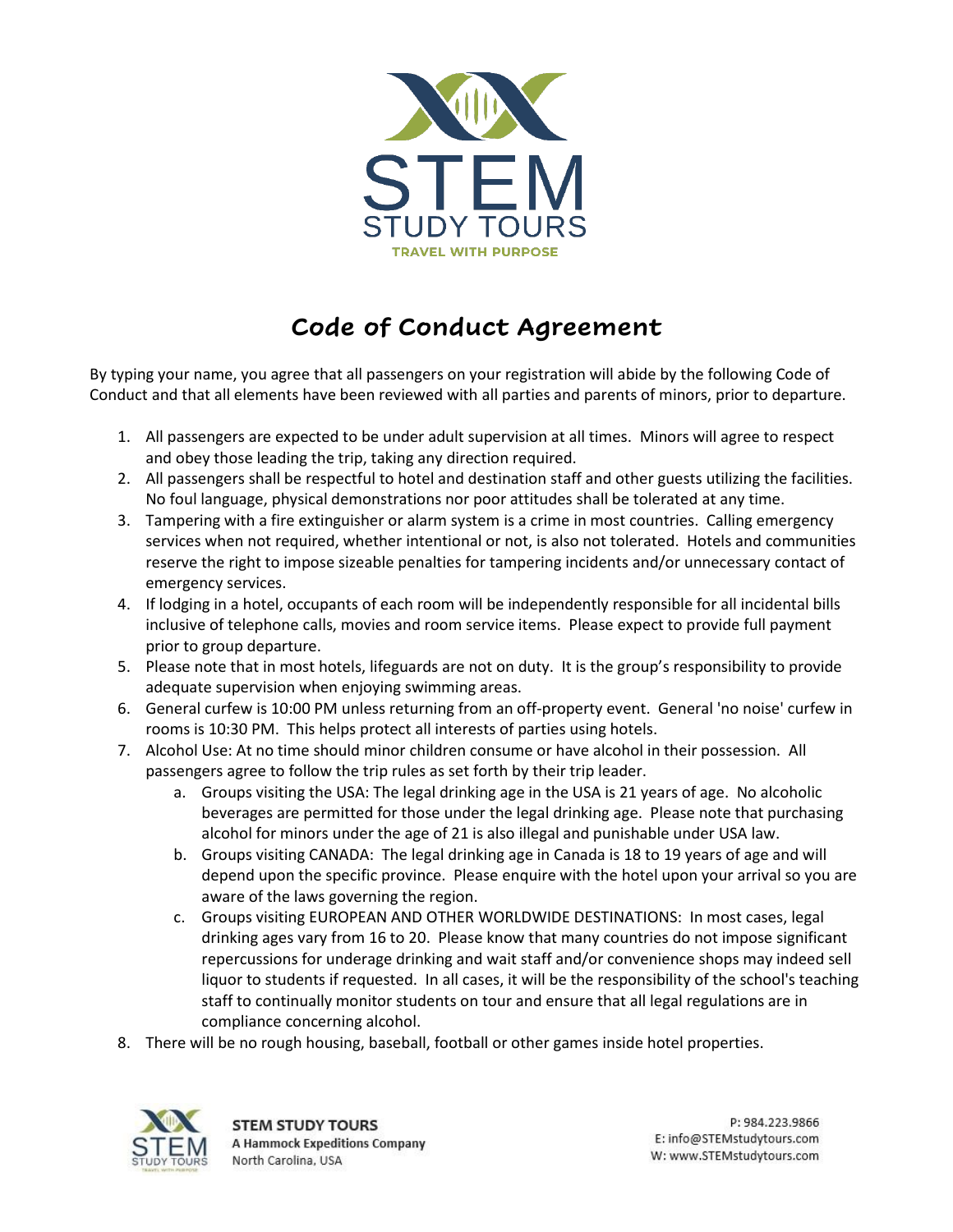

## **Code of Conduct Agreement**

By typing your name, you agree that all passengers on your registration will abide by the following Code of Conduct and that all elements have been reviewed with all parties and parents of minors, prior to departure.

- 1. All passengers are expected to be under adult supervision at all times. Minors will agree to respect and obey those leading the trip, taking any direction required.
- 2. All passengers shall be respectful to hotel and destination staff and other guests utilizing the facilities. No foul language, physical demonstrations nor poor attitudes shall be tolerated at any time.
- 3. Tampering with a fire extinguisher or alarm system is a crime in most countries. Calling emergency services when not required, whether intentional or not, is also not tolerated. Hotels and communities reserve the right to impose sizeable penalties for tampering incidents and/or unnecessary contact of emergency services.
- 4. If lodging in a hotel, occupants of each room will be independently responsible for all incidental bills inclusive of telephone calls, movies and room service items. Please expect to provide full payment prior to group departure.
- 5. Please note that in most hotels, lifeguards are not on duty. It is the group's responsibility to provide adequate supervision when enjoying swimming areas.
- 6. General curfew is 10:00 PM unless returning from an off-property event. General 'no noise' curfew in rooms is 10:30 PM. This helps protect all interests of parties using hotels.
- 7. Alcohol Use: At no time should minor children consume or have alcohol in their possession. All passengers agree to follow the trip rules as set forth by their trip leader.
	- a. Groups visiting the USA: The legal drinking age in the USA is 21 years of age. No alcoholic beverages are permitted for those under the legal drinking age. Please note that purchasing alcohol for minors under the age of 21 is also illegal and punishable under USA law.
	- b. Groups visiting CANADA: The legal drinking age in Canada is 18 to 19 years of age and will depend upon the specific province. Please enquire with the hotel upon your arrival so you are aware of the laws governing the region.
	- c. Groups visiting EUROPEAN AND OTHER WORLDWIDE DESTINATIONS: In most cases, legal drinking ages vary from 16 to 20. Please know that many countries do not impose significant repercussions for underage drinking and wait staff and/or convenience shops may indeed sell liquor to students if requested. In all cases, it will be the responsibility of the school's teaching staff to continually monitor students on tour and ensure that all legal regulations are in compliance concerning alcohol.
- 8. There will be no rough housing, baseball, football or other games inside hotel properties.